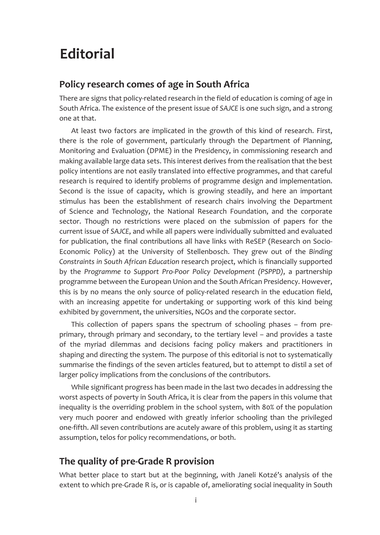# **Editorial**

# **Policy research comes of age in South Africa**

There are signs that policy-related research in the field of education is coming of age in South Africa. The existence of the present issue of *SAJCE* is one such sign, and a strong one at that.

At least two factors are implicated in the growth of this kind of research. First, there is the role of government, particularly through the Department of Planning, Monitoring and Evaluation (DPME) in the Presidency, in commissioning research and making available large data sets. This interest derives from the realisation that the best policy intentions are not easily translated into effective programmes, and that careful research is required to identify problems of programme design and implementation. Second is the issue of capacity, which is growing steadily, and here an important stimulus has been the establishment of research chairs involving the Department of Science and Technology, the National Research Foundation, and the corporate sector. Though no restrictions were placed on the submission of papers for the current issue of *SAJCE*, and while all papers were individually submitted and evaluated for publication, the final contributions all have links with ReSEP (Research on Socio-Economic Policy) at the University of Stellenbosch. They grew out of the *Binding Constraints in South African Education* research project, which is financially supported by the *Programme to Support Pro-Poor Policy Development (PSPPD)*, a partnership programme between the European Union and the South African Presidency. However, this is by no means the only source of policy-related research in the education field, with an increasing appetite for undertaking or supporting work of this kind being exhibited by government, the universities, NGOs and the corporate sector.

This collection of papers spans the spectrum of schooling phases – from preprimary, through primary and secondary, to the tertiary level – and provides a taste of the myriad dilemmas and decisions facing policy makers and practitioners in shaping and directing the system. The purpose of this editorial is not to systematically summarise the findings of the seven articles featured, but to attempt to distil a set of larger policy implications from the conclusions of the contributors.

While significant progress has been made in the last two decades in addressing the worst aspects of poverty in South Africa, it is clear from the papers in this volume that inequality is the overriding problem in the school system, with 80% of the population very much poorer and endowed with greatly inferior schooling than the privileged one-fifth. All seven contributions are acutely aware of this problem, using it as starting assumption, telos for policy recommendations, or both.

# **The quality of pre-Grade R provision**

What better place to start but at the beginning, with Janeli Kotzé's analysis of the extent to which pre-Grade R is, or is capable of, ameliorating social inequality in South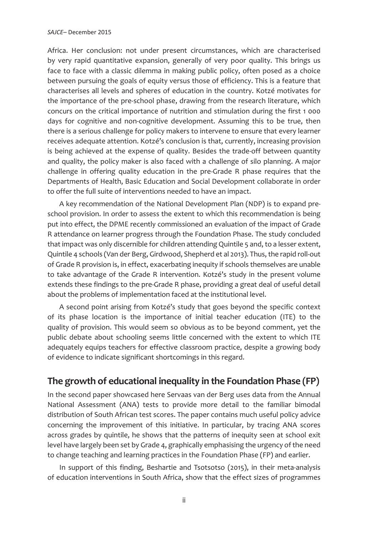Africa. Her conclusion: not under present circumstances, which are characterised by very rapid quantitative expansion, generally of very poor quality. This brings us face to face with a classic dilemma in making public policy, often posed as a choice between pursuing the goals of equity versus those of efficiency. This is a feature that characterises all levels and spheres of education in the country. Kotzé motivates for the importance of the pre-school phase, drawing from the research literature, which concurs on the critical importance of nutrition and stimulation during the first 1 000 days for cognitive and non-cognitive development. Assuming this to be true, then there is a serious challenge for policy makers to intervene to ensure that every learner receives adequate attention. Kotzé's conclusion is that, currently, increasing provision is being achieved at the expense of quality. Besides the trade-off between quantity and quality, the policy maker is also faced with a challenge of silo planning. A major challenge in offering quality education in the pre-Grade R phase requires that the Departments of Health, Basic Education and Social Development collaborate in order to offer the full suite of interventions needed to have an impact.

A key recommendation of the National Development Plan (NDP) is to expand preschool provision. In order to assess the extent to which this recommendation is being put into effect, the DPME recently commissioned an evaluation of the impact of Grade R attendance on learner progress through the Foundation Phase. The study concluded that impact was only discernible for children attending Quintile 5 and, to a lesser extent, Quintile 4 schools (Van der Berg, Girdwood, Shepherd et al 2013). Thus, the rapid roll-out of Grade R provision is, in effect, exacerbating inequity if schools themselves are unable to take advantage of the Grade R intervention. Kotzé's study in the present volume extends these findings to the pre-Grade R phase, providing a great deal of useful detail about the problems of implementation faced at the institutional level.

A second point arising from Kotzé's study that goes beyond the specific context of its phase location is the importance of initial teacher education (ITE) to the quality of provision. This would seem so obvious as to be beyond comment, yet the public debate about schooling seems little concerned with the extent to which ITE adequately equips teachers for effective classroom practice, despite a growing body of evidence to indicate significant shortcomings in this regard.

## **The growth of educational inequality in the Foundation Phase (FP)**

In the second paper showcased here Servaas van der Berg uses data from the Annual National Assessment (ANA) tests to provide more detail to the familiar bimodal distribution of South African test scores. The paper contains much useful policy advice concerning the improvement of this initiative. In particular, by tracing ANA scores across grades by quintile, he shows that the patterns of inequity seen at school exit level have largely been set by Grade 4, graphically emphasising the urgency of the need to change teaching and learning practices in the Foundation Phase (FP) and earlier.

In support of this finding, Beshartie and Tsotsotso (2015), in their meta-analysis of education interventions in South Africa, show that the effect sizes of programmes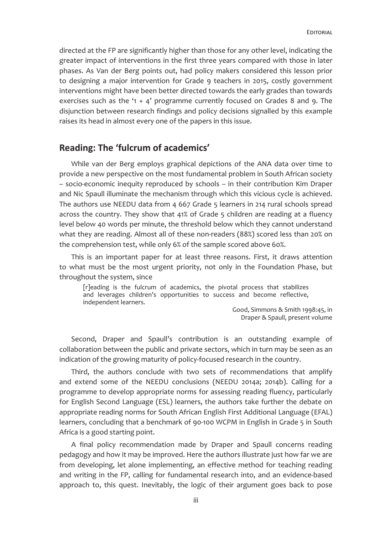directed at the FP are significantly higher than those for any other level, indicating the greater impact of interventions in the first three years compared with those in later phases. As Van der Berg points out, had policy makers considered this lesson prior to designing a major intervention for Grade 9 teachers in 2015, costly government interventions might have been better directed towards the early grades than towards exercises such as the '1 + 4' programme currently focused on Grades 8 and 9. The disjunction between research findings and policy decisions signalled by this example raises its head in almost every one of the papers in this issue.

#### **Reading: The 'fulcrum of academics'**

While van der Berg employs graphical depictions of the ANA data over time to provide a new perspective on the most fundamental problem in South African society – socio-economic inequity reproduced by schools – in their contribution Kim Draper and Nic Spaull illuminate the mechanism through which this vicious cycle is achieved. The authors use NEEDU data from 4 667 Grade 5 learners in 214 rural schools spread across the country. They show that 41% of Grade 5 children are reading at a fluency level below 40 words per minute, the threshold below which they cannot understand what they are reading. Almost all of these non-readers (88%) scored less than 20% on the comprehension test, while only 6% of the sample scored above 60%.

This is an important paper for at least three reasons. First, it draws attention to what must be the most urgent priority, not only in the Foundation Phase, but throughout the system, since

[r]eading is the fulcrum of academics, the pivotal process that stabilizes and leverages children's opportunities to success and become reflective, independent learners.

> Good, Simmons & Smith 1998:45, in Draper & Spaull, present volume

Second, Draper and Spaull's contribution is an outstanding example of collaboration between the public and private sectors, which in turn may be seen as an indication of the growing maturity of policy-focused research in the country.

Third, the authors conclude with two sets of recommendations that amplify and extend some of the NEEDU conclusions (NEEDU 2014a; 2014b). Calling for a programme to develop appropriate norms for assessing reading fluency, particularly for English Second Language (ESL) learners, the authors take further the debate on appropriate reading norms for South African English First Additional Language (EFAL) learners, concluding that a benchmark of 90-100 WCPM in English in Grade 5 in South Africa is a good starting point.

A final policy recommendation made by Draper and Spaull concerns reading pedagogy and how it may be improved. Here the authors illustrate just how far we are from developing, let alone implementing, an effective method for teaching reading and writing in the FP, calling for fundamental research into, and an evidence-based approach to, this quest. Inevitably, the logic of their argument goes back to pose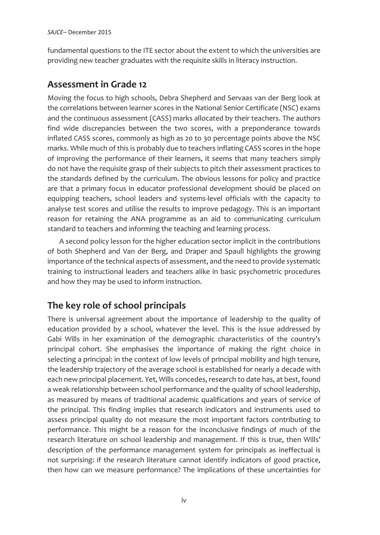fundamental questions to the ITE sector about the extent to which the universities are providing new teacher graduates with the requisite skills in literacy instruction.

# **Assessment in Grade 12**

Moving the focus to high schools, Debra Shepherd and Servaas van der Berg look at the correlations between learner scores in the National Senior Certificate (NSC) exams and the continuous assessment (CASS) marks allocated by their teachers. The authors find wide discrepancies between the two scores, with a preponderance towards inflated CASS scores, commonly as high as 20 to 30 percentage points above the NSC marks. While much of this is probably due to teachers inflating CASS scores in the hope of improving the performance of their learners, it seems that many teachers simply do not have the requisite grasp of their subjects to pitch their assessment practices to the standards defined by the curriculum. The obvious lessons for policy and practice are that a primary focus in educator professional development should be placed on equipping teachers, school leaders and systems-level officials with the capacity to analyse test scores and utilise the results to improve pedagogy. This is an important reason for retaining the ANA programme as an aid to communicating curriculum standard to teachers and informing the teaching and learning process.

A second policy lesson for the higher education sector implicit in the contributions of both Shepherd and Van der Berg, and Draper and Spaull highlights the growing importance of the technical aspects of assessment, and the need to provide systematic training to instructional leaders and teachers alike in basic psychometric procedures and how they may be used to inform instruction.

# **The key role of school principals**

There is universal agreement about the importance of leadership to the quality of education provided by a school, whatever the level. This is the issue addressed by Gabi Wills in her examination of the demographic characteristics of the country's principal cohort. She emphasises the importance of making the right choice in selecting a principal: in the context of low levels of principal mobility and high tenure, the leadership trajectory of the average school is established for nearly a decade with each new principal placement. Yet, Wills concedes, research to date has, at best, found a weak relationship between school performance and the quality of school leadership, as measured by means of traditional academic qualifications and years of service of the principal. This finding implies that research indicators and instruments used to assess principal quality do not measure the most important factors contributing to performance. This might be a reason for the inconclusive findings of much of the research literature on school leadership and management. If this is true, then Wills' description of the performance management system for principals as ineffectual is not surprising: if the research literature cannot identify indicators of good practice, then how can we measure performance? The implications of these uncertainties for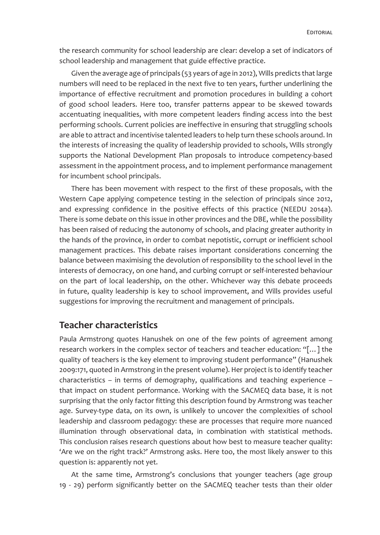the research community for school leadership are clear: develop a set of indicators of school leadership and management that guide effective practice.

Given the average age of principals (53 years of age in 2012), Wills predicts that large numbers will need to be replaced in the next five to ten years, further underlining the importance of effective recruitment and promotion procedures in building a cohort of good school leaders. Here too, transfer patterns appear to be skewed towards accentuating inequalities, with more competent leaders finding access into the best performing schools. Current policies are ineffective in ensuring that struggling schools are able to attract and incentivise talented leaders to help turn these schools around. In the interests of increasing the quality of leadership provided to schools, Wills strongly supports the National Development Plan proposals to introduce competency-based assessment in the appointment process, and to implement performance management for incumbent school principals.

There has been movement with respect to the first of these proposals, with the Western Cape applying competence testing in the selection of principals since 2012, and expressing confidence in the positive effects of this practice (NEEDU 2014a). There is some debate on this issue in other provinces and the DBE, while the possibility has been raised of reducing the autonomy of schools, and placing greater authority in the hands of the province, in order to combat nepotistic, corrupt or inefficient school management practices. This debate raises important considerations concerning the balance between maximising the devolution of responsibility to the school level in the interests of democracy, on one hand, and curbing corrupt or self-interested behaviour on the part of local leadership, on the other. Whichever way this debate proceeds in future, quality leadership is key to school improvement, and Wills provides useful suggestions for improving the recruitment and management of principals.

### **Teacher characteristics**

Paula Armstrong quotes Hanushek on one of the few points of agreement among research workers in the complex sector of teachers and teacher education: "[…] the quality of teachers is the key element to improving student performance" (Hanushek 2009:171, quoted in Armstrong in the present volume). Her project is to identify teacher characteristics – in terms of demography, qualifications and teaching experience – that impact on student performance. Working with the SACMEQ data base, it is not surprising that the only factor fitting this description found by Armstrong was teacher age. Survey-type data, on its own, is unlikely to uncover the complexities of school leadership and classroom pedagogy: these are processes that require more nuanced illumination through observational data, in combination with statistical methods. This conclusion raises research questions about how best to measure teacher quality: 'Are we on the right track?' Armstrong asks. Here too, the most likely answer to this question is: apparently not yet.

At the same time, Armstrong's conclusions that younger teachers (age group 19 - 29) perform significantly better on the SACMEQ teacher tests than their older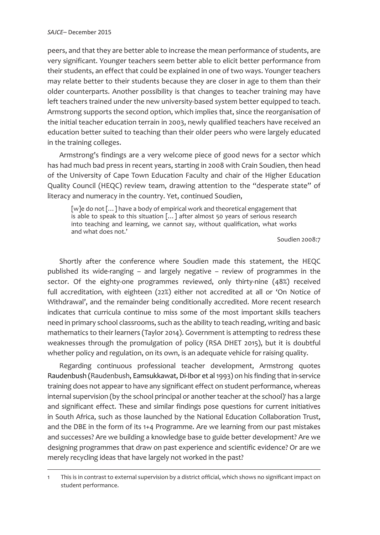peers, and that they are better able to increase the mean performance of students, are very significant. Younger teachers seem better able to elicit better performance from their students, an effect that could be explained in one of two ways. Younger teachers may relate better to their students because they are closer in age to them than their older counterparts. Another possibility is that changes to teacher training may have left teachers trained under the new university-based system better equipped to teach. Armstrong supports the second option, which implies that, since the reorganisation of the initial teacher education terrain in 2003, newly qualified teachers have received an education better suited to teaching than their older peers who were largely educated in the training colleges.

Armstrong's findings are a very welcome piece of good news for a sector which has had much bad press in recent years, starting in 2008 with Crain Soudien, then head of the University of Cape Town Education Faculty and chair of the Higher Education Quality Council (HEQC) review team, drawing attention to the "desperate state" of literacy and numeracy in the country. Yet, continued Soudien,

[w]e do not [...] have a body of empirical work and theoretical engagement that is able to speak to this situation […] after almost 50 years of serious research into teaching and learning, we cannot say, without qualification, what works and what does not.'

Soudien 2008:7

Shortly after the conference where Soudien made this statement, the HEQC published its wide-ranging – and largely negative – review of programmes in the sector. Of the eighty-one programmes reviewed, only thirty-nine (48%) received full accreditation, with eighteen (22%) either not accredited at all or 'On Notice of Withdrawal', and the remainder being conditionally accredited. More recent research indicates that curricula continue to miss some of the most important skills teachers need in primary school classrooms, such as the ability to teach reading, writing and basic mathematics to their learners (Taylor 2014). Government is attempting to redress these weaknesses through the promulgation of policy (RSA DHET 2015), but it is doubtful whether policy and regulation, on its own, is an adequate vehicle for raising quality.

Regarding continuous professional teacher development, Armstrong quotes Raudenbush (Raudenbush, Eamsukkawat, Di-Ibor et al 1993) on his finding that in-service training does not appear to have any significant effect on student performance, whereas internal supervision (by the school principal or another teacher at the school)' has a large and significant effect. These and similar findings pose questions for current initiatives in South Africa, such as those launched by the National Education Collaboration Trust, and the DBE in the form of its 1+4 Programme. Are we learning from our past mistakes and successes? Are we building a knowledge base to guide better development? Are we designing programmes that draw on past experience and scientific evidence? Or are we merely recycling ideas that have largely not worked in the past?

<sup>1</sup> This is in contrast to external supervision by a district official, which shows no significant impact on student performance.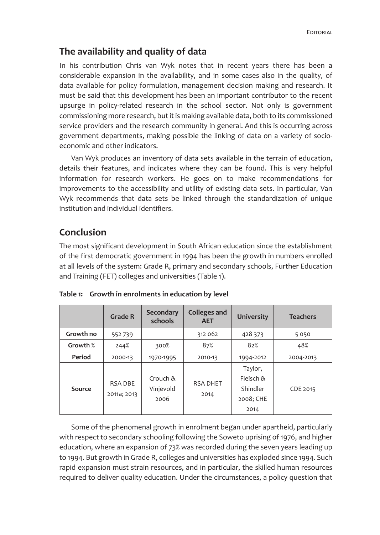# **The availability and quality of data**

In his contribution Chris van Wyk notes that in recent years there has been a considerable expansion in the availability, and in some cases also in the quality, of data available for policy formulation, management decision making and research. It must be said that this development has been an important contributor to the recent upsurge in policy-related research in the school sector. Not only is government commissioning more research, but it is making available data, both to its commissioned service providers and the research community in general. And this is occurring across government departments, making possible the linking of data on a variety of socioeconomic and other indicators.

Van Wyk produces an inventory of data sets available in the terrain of education, details their features, and indicates where they can be found. This is very helpful information for research workers. He goes on to make recommendations for improvements to the accessibility and utility of existing data sets. In particular, Van Wyk recommends that data sets be linked through the standardization of unique institution and individual identifiers.

# **Conclusion**

The most significant development in South African education since the establishment of the first democratic government in 1994 has been the growth in numbers enrolled at all levels of the system: Grade R, primary and secondary schools, Further Education and Training (FET) colleges and universities (Table 1).

|           | <b>Grade R</b>                | Secondary<br>schools          | <b>Colleges and</b><br><b>AET</b> | University                                            | <b>Teachers</b> |
|-----------|-------------------------------|-------------------------------|-----------------------------------|-------------------------------------------------------|-----------------|
| Growth no | 552739                        |                               | 312 062                           | 428 373                                               | 5050            |
| Growth %  | 244%                          | 300%                          | 87%                               | 82%                                                   | 48%             |
| Period    | 2000-13                       | 1970-1995                     | 2010-13                           | 1994-2012                                             | 2004-2013       |
| Source    | <b>RSA DBE</b><br>2011a; 2013 | Crouch &<br>Vinjevold<br>2006 | <b>RSA DHET</b><br>2014           | Taylor,<br>Fleisch &<br>Shindler<br>2008; CHE<br>2014 | CDE 2015        |

|  |  | Table 1: Growth in enrolments in education by level |  |  |
|--|--|-----------------------------------------------------|--|--|
|--|--|-----------------------------------------------------|--|--|

Some of the phenomenal growth in enrolment began under apartheid, particularly with respect to secondary schooling following the Soweto uprising of 1976, and higher education, where an expansion of 73% was recorded during the seven years leading up to 1994. But growth in Grade R, colleges and universities has exploded since 1994. Such rapid expansion must strain resources, and in particular, the skilled human resources required to deliver quality education. Under the circumstances, a policy question that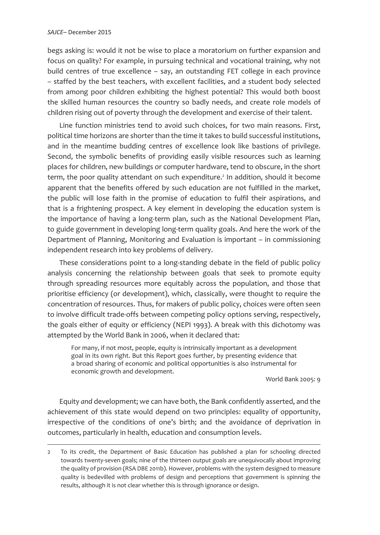begs asking is: would it not be wise to place a moratorium on further expansion and focus on quality? For example, in pursuing technical and vocational training, why not build centres of true excellence – say, an outstanding FET college in each province – staffed by the best teachers, with excellent facilities, and a student body selected from among poor children exhibiting the highest potential? This would both boost the skilled human resources the country so badly needs, and create role models of children rising out of poverty through the development and exercise of their talent.

Line function ministries tend to avoid such choices, for two main reasons. First, political time horizons are shorter than the time it takes to build successful institutions, and in the meantime budding centres of excellence look like bastions of privilege. Second, the symbolic benefits of providing easily visible resources such as learning places for children, new buildings or computer hardware, tend to obscure, in the short term, the poor quality attendant on such expenditure.<sup>2</sup> In addition, should it become apparent that the benefits offered by such education are not fulfilled in the market, the public will lose faith in the promise of education to fulfil their aspirations, and that is a frightening prospect. A key element in developing the education system is the importance of having a long-term plan, such as the National Development Plan, to guide government in developing long-term quality goals. And here the work of the Department of Planning, Monitoring and Evaluation is important – in commissioning independent research into key problems of delivery.

These considerations point to a long-standing debate in the field of public policy analysis concerning the relationship between goals that seek to promote equity through spreading resources more equitably across the population, and those that prioritise efficiency (or development), which, classically, were thought to require the concentration of resources. Thus, for makers of public policy, choices were often seen to involve difficult trade-offs between competing policy options serving, respectively, the goals either of equity or efficiency (NEPI 1993). A break with this dichotomy was attempted by the World Bank in 2006, when it declared that:

For many, if not most, people, equity is intrinsically important as a development goal in its own right. But this Report goes further, by presenting evidence that a broad sharing of economic and political opportunities is also instrumental for economic growth and development.

World Bank 2005: 9

Equity *and* development; we can have both, the Bank confidently asserted, and the achievement of this state would depend on two principles: equality of opportunity, irrespective of the conditions of one's birth; and the avoidance of deprivation in outcomes, particularly in health, education and consumption levels.

<sup>2</sup> To its credit, the Department of Basic Education has published a plan for schooling directed towards twenty-seven goals; nine of the thirteen output goals are unequivocally about improving the quality of provision (RSA DBE 2011b). However, problems with the system designed to measure quality is bedevilled with problems of design and perceptions that government is spinning the results, although it is not clear whether this is through ignorance or design.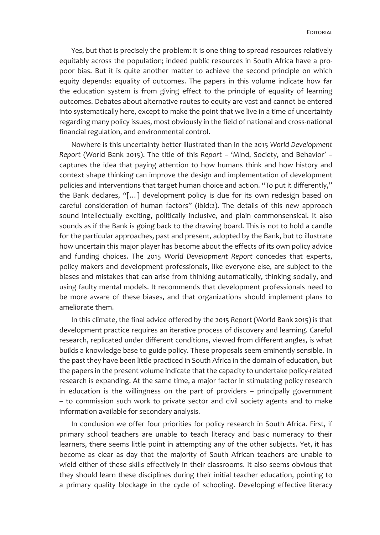Yes, but that is precisely the problem: it is one thing to spread resources relatively equitably across the population; indeed public resources in South Africa have a propoor bias. But it is quite another matter to achieve the second principle on which equity depends: equality of outcomes. The papers in this volume indicate how far the education system is from giving effect to the principle of equality of learning outcomes. Debates about alternative routes to equity are vast and cannot be entered into systematically here, except to make the point that we live in a time of uncertainty regarding many policy issues, most obviously in the field of national and cross-national financial regulation, and environmental control.

Nowhere is this uncertainty better illustrated than in the 2015 *World Development Report* (World Bank 2015). The title of this *Report* – 'Mind, Society, and Behavior' – captures the idea that paying attention to how humans think and how history and context shape thinking can improve the design and implementation of development policies and interventions that target human choice and action. "To put it differently," the Bank declares, "[…] development policy is due for its own redesign based on careful consideration of human factors" (ibid:2). The details of this new approach sound intellectually exciting, politically inclusive, and plain commonsensical. It also sounds as if the Bank is going back to the drawing board. This is not to hold a candle for the particular approaches, past and present, adopted by the Bank, but to illustrate how uncertain this major player has become about the effects of its own policy advice and funding choices. The 2015 *World Development Report* concedes that experts, policy makers and development professionals, like everyone else, are subject to the biases and mistakes that can arise from thinking automatically, thinking socially, and using faulty mental models. It recommends that development professionals need to be more aware of these biases, and that organizations should implement plans to ameliorate them.

In this climate, the final advice offered by the 2015 *Report* (World Bank 2015) is that development practice requires an iterative process of discovery and learning. Careful research, replicated under different conditions, viewed from different angles, is what builds a knowledge base to guide policy. These proposals seem eminently sensible. In the past they have been little practiced in South Africa in the domain of education, but the papers in the present volume indicate that the capacity to undertake policy-related research is expanding. At the same time, a major factor in stimulating policy research in education is the willingness on the part of providers – principally government – to commission such work to private sector and civil society agents and to make information available for secondary analysis.

In conclusion we offer four priorities for policy research in South Africa. First, if primary school teachers are unable to teach literacy and basic numeracy to their learners, there seems little point in attempting any of the other subjects. Yet, it has become as clear as day that the majority of South African teachers are unable to wield either of these skills effectively in their classrooms. It also seems obvious that they should learn these disciplines during their initial teacher education, pointing to a primary quality blockage in the cycle of schooling. Developing effective literacy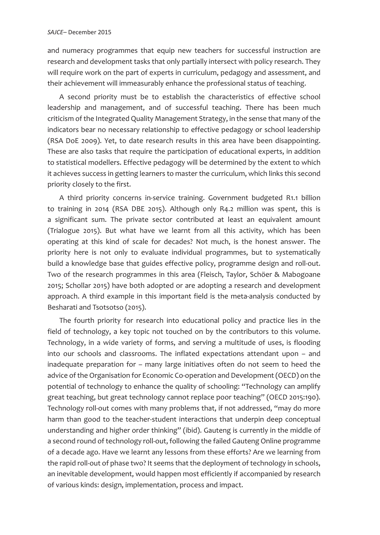and numeracy programmes that equip new teachers for successful instruction are research and development tasks that only partially intersect with policy research. They will require work on the part of experts in curriculum, pedagogy and assessment, and their achievement will immeasurably enhance the professional status of teaching.

A second priority must be to establish the characteristics of effective school leadership and management, and of successful teaching. There has been much criticism of the Integrated Quality Management Strategy, in the sense that many of the indicators bear no necessary relationship to effective pedagogy or school leadership (RSA DoE 2009). Yet, to date research results in this area have been disappointing. These are also tasks that require the participation of educational experts, in addition to statistical modellers. Effective pedagogy will be determined by the extent to which it achieves success in getting learners to master the curriculum, which links this second priority closely to the first.

A third priority concerns in-service training. Government budgeted R1.1 billion to training in 2014 (RSA DBE 2015). Although only R4.2 million was spent, this is a significant sum. The private sector contributed at least an equivalent amount (Trialogue 2015). But what have we learnt from all this activity, which has been operating at this kind of scale for decades? Not much, is the honest answer. The priority here is not only to evaluate individual programmes, but to systematically build a knowledge base that guides effective policy, programme design and roll-out. Two of the research programmes in this area (Fleisch, Taylor, Schöer & Mabogoane 2015; Schollar 2015) have both adopted or are adopting a research and development approach. A third example in this important field is the meta-analysis conducted by Besharati and Tsotsotso (2015).

The fourth priority for research into educational policy and practice lies in the field of technology, a key topic not touched on by the contributors to this volume. Technology, in a wide variety of forms, and serving a multitude of uses, is flooding into our schools and classrooms. The inflated expectations attendant upon – and inadequate preparation for – many large initiatives often do not seem to heed the advice of the Organisation for Economic Co-operation and Development (OECD) on the potential of technology to enhance the quality of schooling: "Technology can amplify great teaching, but great technology cannot replace poor teaching" (OECD 2015:190). Technology roll-out comes with many problems that, if not addressed, "may do more harm than good to the teacher-student interactions that underpin deep conceptual understanding and higher order thinking" (ibid). Gauteng is currently in the middle of a second round of technology roll-out, following the failed Gauteng Online programme of a decade ago. Have we learnt any lessons from these efforts? Are we learning from the rapid roll-out of phase two? It seems that the deployment of technology in schools, an inevitable development, would happen most efficiently if accompanied by research of various kinds: design, implementation, process and impact.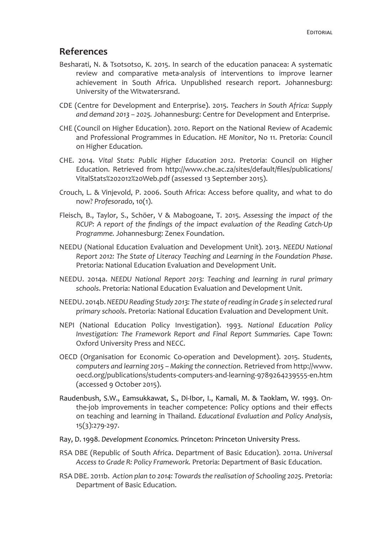## **References**

- Besharati, N. & Tsotsotso, K. 2015. In search of the education panacea: A systematic review and comparative meta-analysis of interventions to improve learner achievement in South Africa. Unpublished research report. Johannesburg: University of the Witwatersrand.
- CDE (Centre for Development and Enterprise). 2015. *Teachers in South Africa: Supply and demand 2013 – 2025.* Johannesburg: Centre for Development and Enterprise.
- CHE (Council on Higher Education). 2010. Report on the National Review of Academic and Professional Programmes in Education. *HE Monitor*, No 11. Pretoria: Council on Higher Education.
- CHE. 2014. *Vital Stats: Public Higher Education 2012*. Pretoria: Council on Higher Education. Retrieved from http://www.che.ac.za/sites/default/files/publications/ VitalStats%202012%20Web.pdf (assessed 13 September 2015).
- Crouch, L. & Vinjevold, P. 2006. South Africa: Access before quality, and what to do now? *Profesorado*, 10(1).
- Fleisch, B., Taylor, S., Schöer, V & Mabogoane, T. 2015. *Assessing the impact of the RCUP: A report of the findings of the impact evaluation of the Reading Catch-Up Programme.* Johannesburg: Zenex Foundation.
- NEEDU (National Education Evaluation and Development Unit). 2013. *NEEDU National Report 2012: The State of Literacy Teaching and Learning in the Foundation Phase*. Pretoria: National Education Evaluation and Development Unit.
- NEEDU. 2014a. *NEEDU National Report 2013: Teaching and learning in rural primary schools*. Pretoria: National Education Evaluation and Development Unit.
- NEEDU. 2014b. *NEEDU Reading Study 2013: The state of reading in Grade 5 in selected rural primary schools*. Pretoria: National Education Evaluation and Development Unit.
- NEPI (National Education Policy Investigation). 1993. *National Education Policy Investigation: The Framework Report and Final Report Summaries.* Cape Town: Oxford University Press and NECC.
- OECD (Organisation for Economic Co-operation and Development). 2015. *Students, computers and learning 2015 – Making the connection*. Retrieved from http://www. oecd.org/publications/students-computers-and-learning-9789264239555-en.htm (accessed 9 October 2015).
- Raudenbush, S.W., Eamsukkawat, S., Di-Ibor, I., Kamali, M. & Taoklam, W. 1993. Onthe-job improvements in teacher competence: Policy options and their effects on teaching and learning in Thailand. *Educational Evaluation and Policy Analysis*, 15(3):279-297.
- Ray, D. 1998. *Development Economics.* Princeton: Princeton University Press.
- RSA DBE (Republic of South Africa. Department of Basic Education). 2011a. *Universal Access to Grade R: Policy Framework.* Pretoria: Department of Basic Education.
- RSA DBE. 2011b. *Action plan to 2014: Towards the realisation of Schooling 2025*. Pretoria: Department of Basic Education.